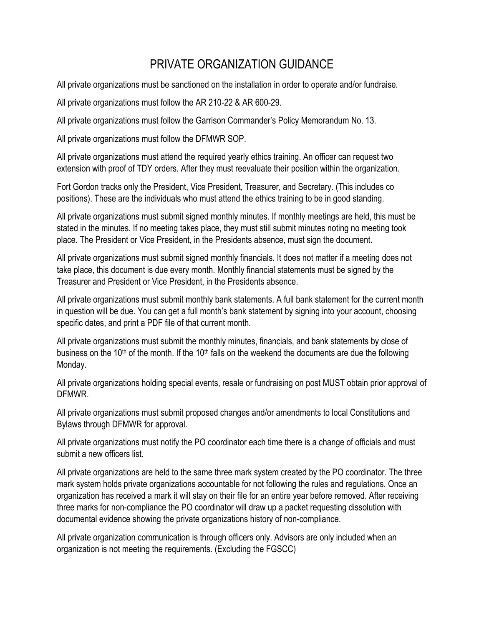## PRIVATE ORGANIZATION GUIDANCE

All private organizations must be sanctioned on the installation in order to operate and/or fundraise.

All private organizations must follow the AR 210-22 & AR 600-29.

All private organizations must follow the Garrison Commander's Policy Memorandum No. 13.

All private organizations must follow the DFMWR SOP.

All private organizations must attend the required yearly ethics training. An officer can request two extension with proof of TDY orders. After they must reevaluate their position within the organization.

Fort Gordon tracks only the President, Vice President, Treasurer, and Secretary. (This includes co positions). These are the individuals who must attend the ethics training to be in good standing.

All private organizations must submit signed monthly minutes. If monthly meetings are held, this must be stated in the minutes. If no meeting takes place, they must still submit minutes noting no meeting took place. The President or Vice President, in the Presidents absence, must sign the document.

All private organizations must submit signed monthly financials. It does not matter if a meeting does not take place, this document is due every month. Monthly financial statements must be signed by the Treasurer and President or Vice President, in the Presidents absence.

All private organizations must submit monthly bank statements. A full bank statement for the current month in question will be due. You can get a full month's bank statement by signing into your account, choosing specific dates, and print a PDF file of that current month.

All private organizations must submit the monthly minutes, financials, and bank statements by close of business on the 10<sup>th</sup> of the month. If the 10<sup>th</sup> falls on the weekend the documents are due the following Monday.

All private organizations holding special events, resale or fundraising on post MUST obtain prior approval of DFMWR.

All private organizations must submit proposed changes and/or amendments to local Constitutions and Bylaws through DFMWR for approval.

All private organizations must notify the PO coordinator each time there is a change of officials and must submit a new officers list.

All private organizations are held to the same three mark system created by the PO coordinator. The three mark system holds private organizations accountable for not following the rules and regulations. Once an organization has received a mark it will stay on their file for an entire year before removed. After receiving three marks for non-compliance the PO coordinator will draw up a packet requesting dissolution with documental evidence showing the private organizations history of non-compliance.

All private organization communication is through officers only. Advisors are only included when an organization is not meeting the requirements. (Excluding the FGSCC)